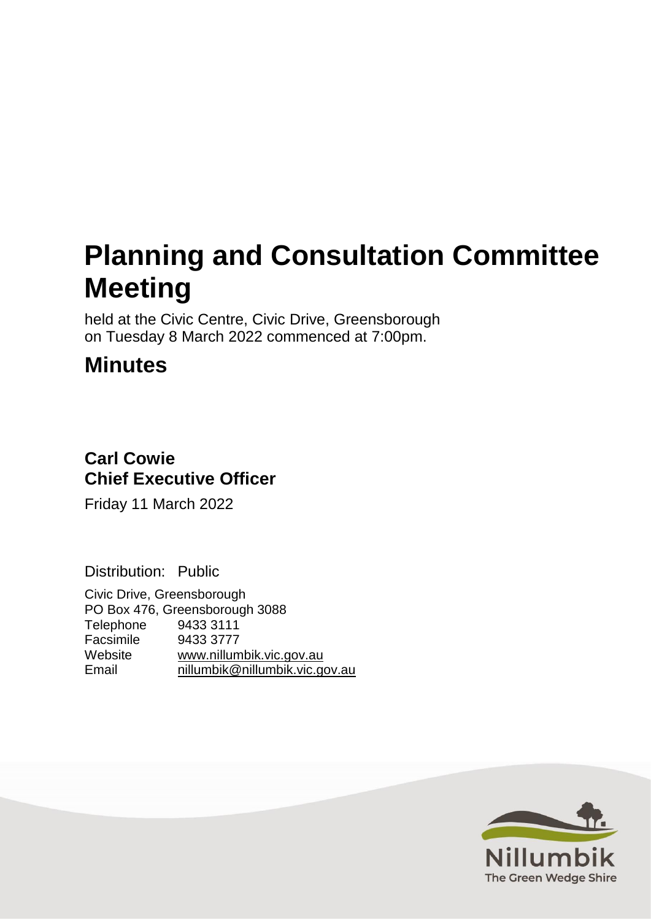# **Planning and Consultation Committee Meeting**

held at the Civic Centre, Civic Drive, Greensborough on Tuesday 8 March 2022 commenced at 7:00pm.

# **Minutes**

# **Carl Cowie Chief Executive Officer**

Friday 11 March 2022

Distribution: Public

Civic Drive, Greensborough PO Box 476, Greensborough 3088 Telephone 9433 3111 Facsimile 9433 3777 Website [www.nillumbik.vic.gov.au](http://www.nillumbik.vic.gov.au/) [nillumbik@nillumbik.vic.gov.au](mailto:nillumbik@nillumbik.vic.gov.au)

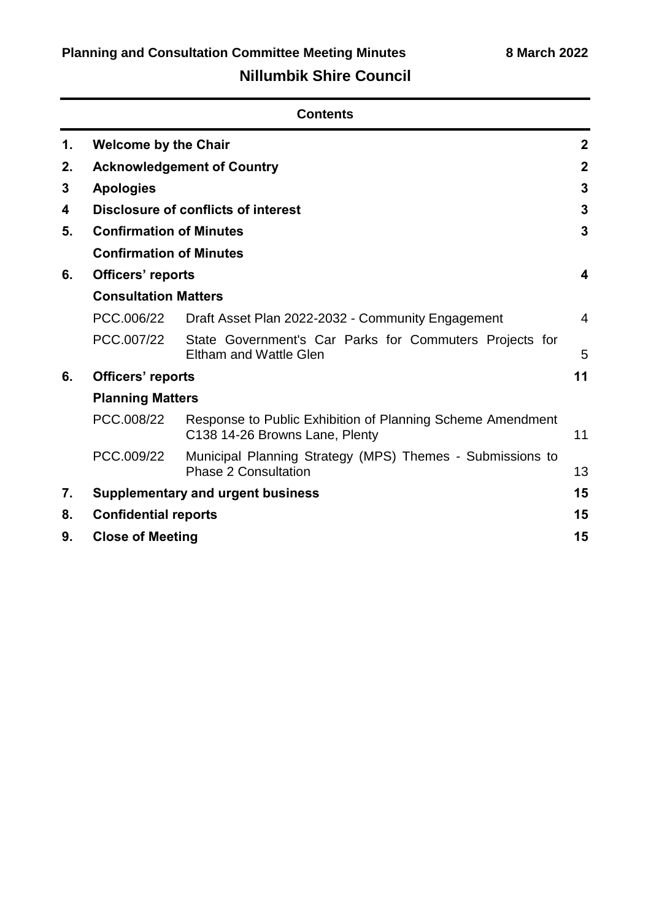# **Nillumbik Shire Council**

|    | <b>Contents</b>                     |                                                                                              |                |
|----|-------------------------------------|----------------------------------------------------------------------------------------------|----------------|
| 1. | <b>Welcome by the Chair</b>         |                                                                                              | $\mathbf{2}$   |
| 2. |                                     | <b>Acknowledgement of Country</b>                                                            | $\mathbf{2}$   |
| 3  | <b>Apologies</b>                    |                                                                                              | 3              |
| 4  | Disclosure of conflicts of interest |                                                                                              | 3              |
| 5. | <b>Confirmation of Minutes</b>      |                                                                                              | 3              |
|    | <b>Confirmation of Minutes</b>      |                                                                                              |                |
| 6. | Officers' reports                   |                                                                                              | 4              |
|    | <b>Consultation Matters</b>         |                                                                                              |                |
|    | PCC.006/22                          | Draft Asset Plan 2022-2032 - Community Engagement                                            | $\overline{4}$ |
|    | PCC.007/22                          | State Government's Car Parks for Commuters Projects for<br><b>Eltham and Wattle Glen</b>     | 5              |
| 6. | Officers' reports                   |                                                                                              | 11             |
|    | <b>Planning Matters</b>             |                                                                                              |                |
|    | PCC.008/22                          | Response to Public Exhibition of Planning Scheme Amendment<br>C138 14-26 Browns Lane, Plenty | 11             |
|    | PCC.009/22                          | Municipal Planning Strategy (MPS) Themes - Submissions to<br><b>Phase 2 Consultation</b>     | 13             |
| 7. |                                     | <b>Supplementary and urgent business</b>                                                     | 15             |
| 8. | <b>Confidential reports</b>         |                                                                                              | 15             |
| 9. | <b>Close of Meeting</b>             |                                                                                              | 15             |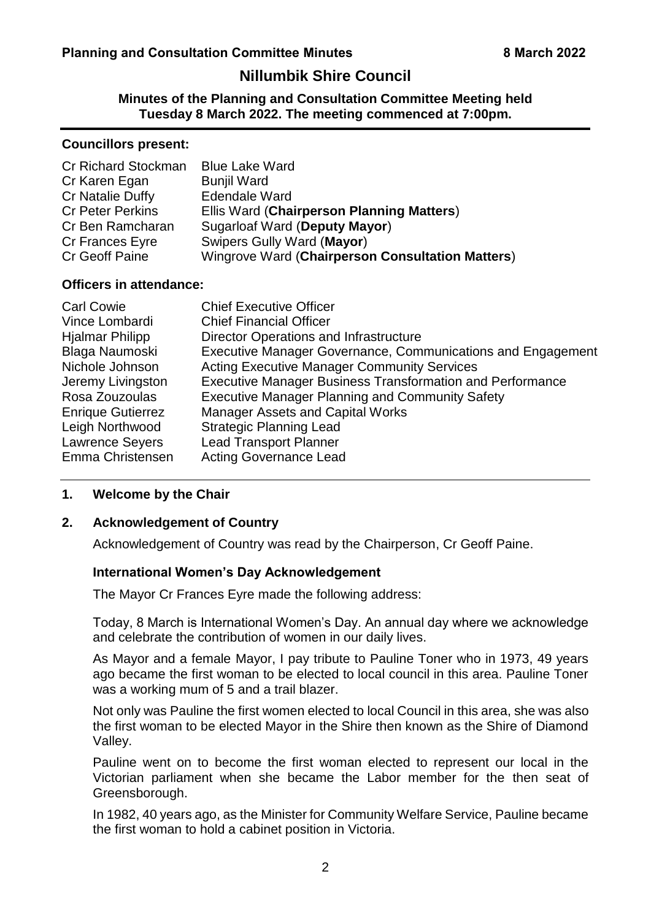# **Nillumbik Shire Council**

**Minutes of the Planning and Consultation Committee Meeting held Tuesday 8 March 2022. The meeting commenced at 7:00pm.**

#### **Councillors present:**

| <b>Cr Richard Stockman</b> | <b>Blue Lake Ward</b>                            |
|----------------------------|--------------------------------------------------|
| Cr Karen Egan              | <b>Bunjil Ward</b>                               |
| Cr Natalie Duffy           | <b>Edendale Ward</b>                             |
| <b>Cr Peter Perkins</b>    | Ellis Ward (Chairperson Planning Matters)        |
| Cr Ben Ramcharan           | <b>Sugarloaf Ward (Deputy Mayor)</b>             |
| Cr Frances Eyre            | Swipers Gully Ward (Mayor)                       |
| <b>Cr Geoff Paine</b>      | Wingrove Ward (Chairperson Consultation Matters) |

# **Officers in attendance:**

| <b>Carl Cowie</b>        | <b>Chief Executive Officer</b>                                     |
|--------------------------|--------------------------------------------------------------------|
| Vince Lombardi           | <b>Chief Financial Officer</b>                                     |
| <b>Hjalmar Philipp</b>   | <b>Director Operations and Infrastructure</b>                      |
| Blaga Naumoski           | <b>Executive Manager Governance, Communications and Engagement</b> |
| Nichole Johnson          | <b>Acting Executive Manager Community Services</b>                 |
| Jeremy Livingston        | <b>Executive Manager Business Transformation and Performance</b>   |
| Rosa Zouzoulas           | <b>Executive Manager Planning and Community Safety</b>             |
| <b>Enrique Gutierrez</b> | <b>Manager Assets and Capital Works</b>                            |
| Leigh Northwood          | <b>Strategic Planning Lead</b>                                     |
| <b>Lawrence Seyers</b>   | <b>Lead Transport Planner</b>                                      |
| Emma Christensen         | <b>Acting Governance Lead</b>                                      |

# <span id="page-2-0"></span>**1. Welcome by the Chair**

# <span id="page-2-1"></span>**2. Acknowledgement of Country**

Acknowledgement of Country was read by the Chairperson, Cr Geoff Paine.

#### **International Women's Day Acknowledgement**

The Mayor Cr Frances Eyre made the following address:

Today, 8 March is International Women's Day. An annual day where we acknowledge and celebrate the contribution of women in our daily lives.

As Mayor and a female Mayor, I pay tribute to Pauline Toner who in 1973, 49 years ago became the first woman to be elected to local council in this area. Pauline Toner was a working mum of 5 and a trail blazer.

Not only was Pauline the first women elected to local Council in this area, she was also the first woman to be elected Mayor in the Shire then known as the Shire of Diamond Valley.

Pauline went on to become the first woman elected to represent our local in the Victorian parliament when she became the Labor member for the then seat of Greensborough.

In 1982, 40 years ago, as the Minister for Community Welfare Service, Pauline became the first woman to hold a cabinet position in Victoria.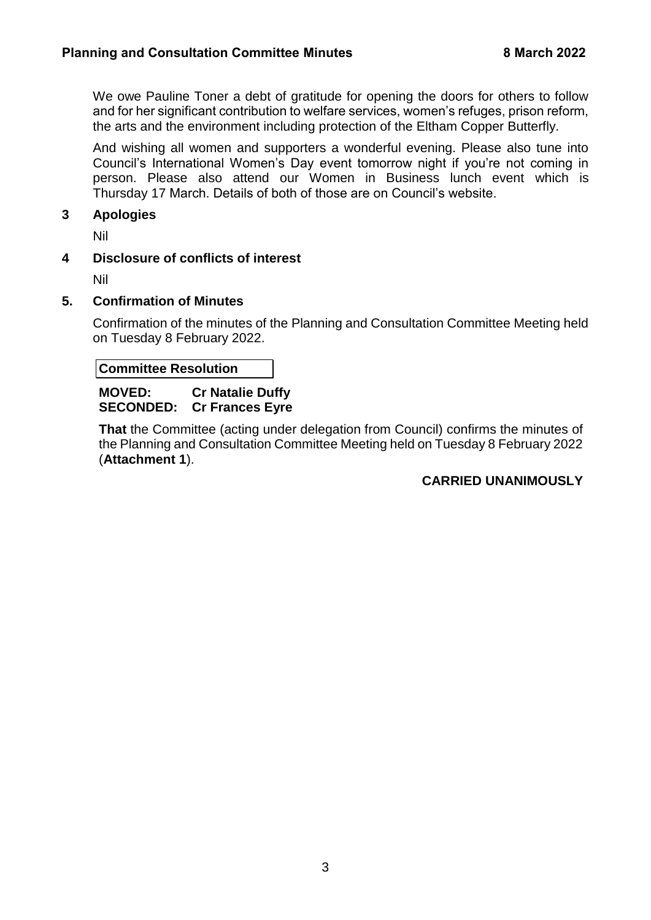<span id="page-3-3"></span>We owe Pauline Toner a debt of gratitude for opening the doors for others to follow and for her significant contribution to welfare services, women's refuges, prison reform, the arts and the environment including protection of the Eltham Copper Butterfly.

And wishing all women and supporters a wonderful evening. Please also tune into Council's International Women's Day event tomorrow night if you're not coming in person. Please also attend our Women in Business lunch event which is Thursday 17 March. Details of both of those are on Council's website.

# <span id="page-3-0"></span>**3 Apologies**

Nil

# <span id="page-3-1"></span>**4 Disclosure of conflicts of interest**

Nil

# <span id="page-3-2"></span>**5. Confirmation of Minutes**

Confirmation of the minutes of the Planning and Consultation Committee Meeting held on Tuesday 8 February 2022.

**Committee Resolution**

#### **MOVED: Cr Natalie Duffy SECONDED: Cr Frances Eyre**

**That** the Committee (acting under delegation from Council) confirms the minutes of the Planning and Consultation Committee Meeting held on Tuesday 8 February 2022 (**Attachment 1**).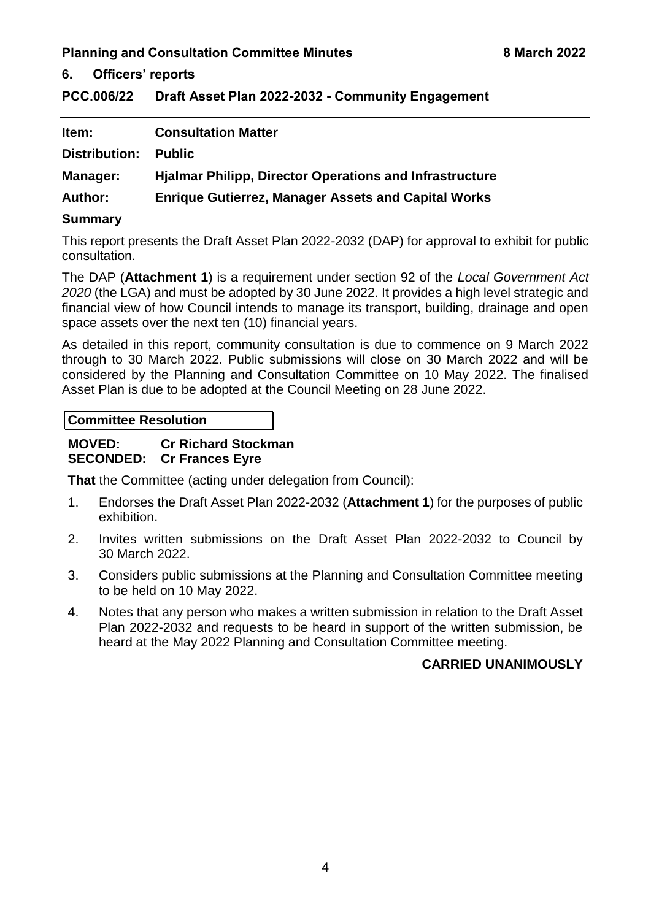<span id="page-4-1"></span><span id="page-4-0"></span>**6. Officers' reports**

<span id="page-4-2"></span>**PCC.006/22 Draft Asset Plan 2022-2032 - Community Engagement**

| Item:                | <b>Consultation Matter</b>                                     |
|----------------------|----------------------------------------------------------------|
| <b>Distribution:</b> | <b>Public</b>                                                  |
| Manager:             | <b>Hialmar Philipp, Director Operations and Infrastructure</b> |
| <b>Author:</b>       | <b>Enrique Gutierrez, Manager Assets and Capital Works</b>     |
|                      |                                                                |

## **Summary**

This report presents the Draft Asset Plan 2022-2032 (DAP) for approval to exhibit for public consultation.

The DAP (**Attachment 1**) is a requirement under section 92 of the *Local Government Act 2020* (the LGA) and must be adopted by 30 June 2022. It provides a high level strategic and financial view of how Council intends to manage its transport, building, drainage and open space assets over the next ten (10) financial years.

As detailed in this report, community consultation is due to commence on 9 March 2022 through to 30 March 2022. Public submissions will close on 30 March 2022 and will be considered by the Planning and Consultation Committee on 10 May 2022. The finalised Asset Plan is due to be adopted at the Council Meeting on 28 June 2022.

**Committee Resolution**

# **MOVED: Cr Richard Stockman SECONDED: Cr Frances Eyre**

**That** the Committee (acting under delegation from Council):

- 1. Endorses the Draft Asset Plan 2022-2032 (**Attachment 1**) for the purposes of public exhibition.
- 2. Invites written submissions on the Draft Asset Plan 2022-2032 to Council by 30 March 2022.
- 3. Considers public submissions at the Planning and Consultation Committee meeting to be held on 10 May 2022.
- 4. Notes that any person who makes a written submission in relation to the Draft Asset Plan 2022-2032 and requests to be heard in support of the written submission, be heard at the May 2022 Planning and Consultation Committee meeting.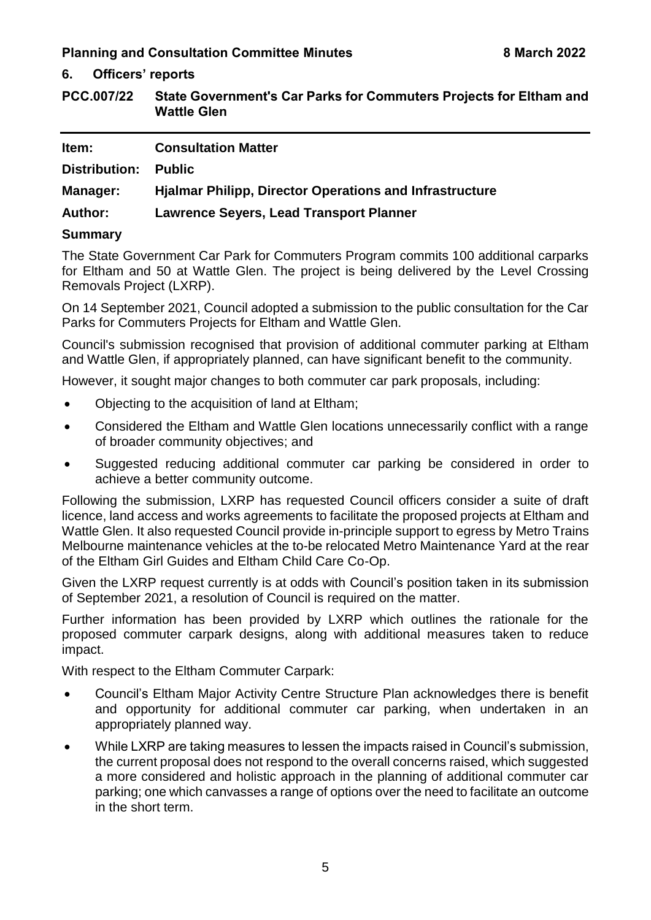# **6. Officers' reports**

<span id="page-5-0"></span>**PCC.007/22 State Government's Car Parks for Commuters Projects for Eltham and Wattle Glen** 

| ltem:          | <b>Consultation Matter</b>                                     |
|----------------|----------------------------------------------------------------|
| Distribution:  | <b>Public</b>                                                  |
| Manager:       | <b>Hialmar Philipp, Director Operations and Infrastructure</b> |
| <b>Author:</b> | <b>Lawrence Seyers, Lead Transport Planner</b>                 |
| <b>Summary</b> |                                                                |

The State Government Car Park for Commuters Program commits 100 additional carparks for Eltham and 50 at Wattle Glen. The project is being delivered by the Level Crossing Removals Project (LXRP).

On 14 September 2021, Council adopted a submission to the public consultation for the Car Parks for Commuters Projects for Eltham and Wattle Glen.

Council's submission recognised that provision of additional commuter parking at Eltham and Wattle Glen, if appropriately planned, can have significant benefit to the community.

However, it sought major changes to both commuter car park proposals, including:

- Objecting to the acquisition of land at Eltham;
- Considered the Eltham and Wattle Glen locations unnecessarily conflict with a range of broader community objectives; and
- Suggested reducing additional commuter car parking be considered in order to achieve a better community outcome.

Following the submission, LXRP has requested Council officers consider a suite of draft licence, land access and works agreements to facilitate the proposed projects at Eltham and Wattle Glen. It also requested Council provide in-principle support to egress by Metro Trains Melbourne maintenance vehicles at the to-be relocated Metro Maintenance Yard at the rear of the Eltham Girl Guides and Eltham Child Care Co-Op.

Given the LXRP request currently is at odds with Council's position taken in its submission of September 2021, a resolution of Council is required on the matter.

Further information has been provided by LXRP which outlines the rationale for the proposed commuter carpark designs, along with additional measures taken to reduce impact.

With respect to the Eltham Commuter Carpark:

- Council's Eltham Major Activity Centre Structure Plan acknowledges there is benefit and opportunity for additional commuter car parking, when undertaken in an appropriately planned way.
- While LXRP are taking measures to lessen the impacts raised in Council's submission, the current proposal does not respond to the overall concerns raised, which suggested a more considered and holistic approach in the planning of additional commuter car parking; one which canvasses a range of options over the need to facilitate an outcome in the short term.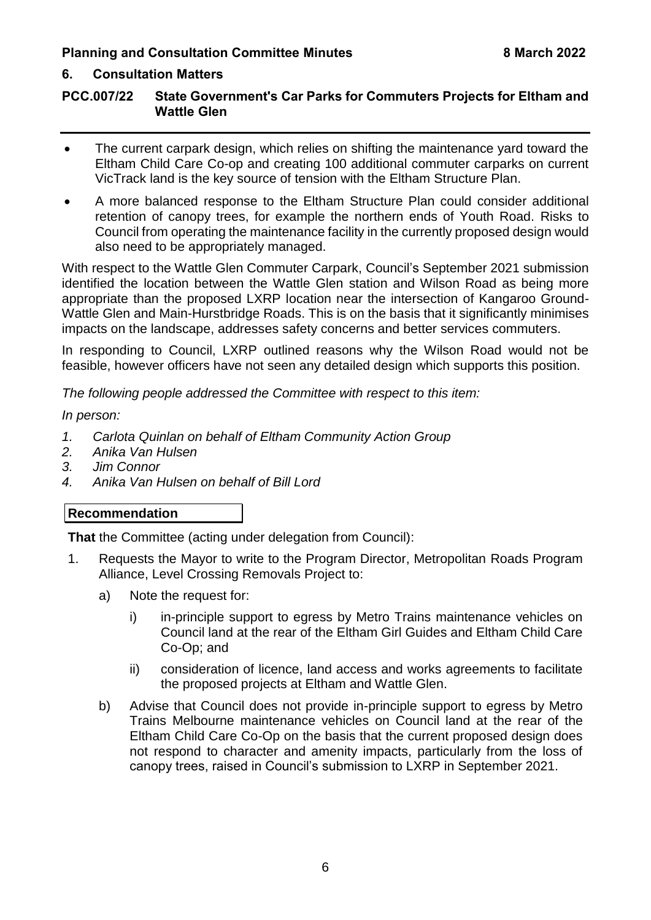# **6. Consultation Matters**

# **PCC.007/22 State Government's Car Parks for Commuters Projects for Eltham and Wattle Glen**

- The current carpark design, which relies on shifting the maintenance yard toward the Eltham Child Care Co-op and creating 100 additional commuter carparks on current VicTrack land is the key source of tension with the Eltham Structure Plan.
- A more balanced response to the Eltham Structure Plan could consider additional retention of canopy trees, for example the northern ends of Youth Road. Risks to Council from operating the maintenance facility in the currently proposed design would also need to be appropriately managed.

With respect to the Wattle Glen Commuter Carpark, Council's September 2021 submission identified the location between the Wattle Glen station and Wilson Road as being more appropriate than the proposed LXRP location near the intersection of Kangaroo Ground-Wattle Glen and Main-Hurstbridge Roads. This is on the basis that it significantly minimises impacts on the landscape, addresses safety concerns and better services commuters.

In responding to Council, LXRP outlined reasons why the Wilson Road would not be feasible, however officers have not seen any detailed design which supports this position.

*The following people addressed the Committee with respect to this item:*

*In person:*

- *1. Carlota Quinlan on behalf of Eltham Community Action Group*
- *2. Anika Van Hulsen*
- *3. Jim Connor*
- *4. Anika Van Hulsen on behalf of Bill Lord*

# **Recommendation**

**That** the Committee (acting under delegation from Council):

- 1. Requests the Mayor to write to the Program Director, Metropolitan Roads Program Alliance, Level Crossing Removals Project to:
	- a) Note the request for:
		- i) in-principle support to egress by Metro Trains maintenance vehicles on Council land at the rear of the Eltham Girl Guides and Eltham Child Care Co-Op; and
		- ii) consideration of licence, land access and works agreements to facilitate the proposed projects at Eltham and Wattle Glen.
	- b) Advise that Council does not provide in-principle support to egress by Metro Trains Melbourne maintenance vehicles on Council land at the rear of the Eltham Child Care Co-Op on the basis that the current proposed design does not respond to character and amenity impacts, particularly from the loss of canopy trees, raised in Council's submission to LXRP in September 2021.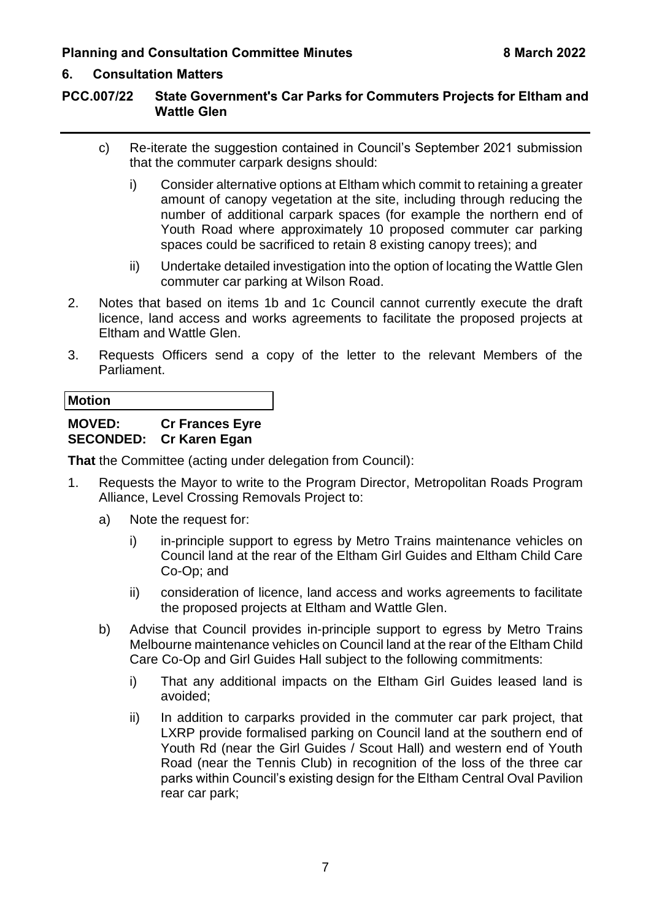# **6. Consultation Matters**

# **PCC.007/22 State Government's Car Parks for Commuters Projects for Eltham and Wattle Glen**

- c) Re-iterate the suggestion contained in Council's September 2021 submission that the commuter carpark designs should:
	- i) Consider alternative options at Eltham which commit to retaining a greater amount of canopy vegetation at the site, including through reducing the number of additional carpark spaces (for example the northern end of Youth Road where approximately 10 proposed commuter car parking spaces could be sacrificed to retain 8 existing canopy trees); and
	- ii) Undertake detailed investigation into the option of locating the Wattle Glen commuter car parking at Wilson Road.
- 2. Notes that based on items 1b and 1c Council cannot currently execute the draft licence, land access and works agreements to facilitate the proposed projects at Eltham and Wattle Glen.
- 3. Requests Officers send a copy of the letter to the relevant Members of the Parliament.

**Motion**

# **MOVED: Cr Frances Eyre SECONDED: Cr Karen Egan**

**That** the Committee (acting under delegation from Council):

- 1. Requests the Mayor to write to the Program Director, Metropolitan Roads Program Alliance, Level Crossing Removals Project to:
	- a) Note the request for:
		- i) in-principle support to egress by Metro Trains maintenance vehicles on Council land at the rear of the Eltham Girl Guides and Eltham Child Care Co-Op; and
		- ii) consideration of licence, land access and works agreements to facilitate the proposed projects at Eltham and Wattle Glen.
	- b) Advise that Council provides in-principle support to egress by Metro Trains Melbourne maintenance vehicles on Council land at the rear of the Eltham Child Care Co-Op and Girl Guides Hall subject to the following commitments:
		- i) That any additional impacts on the Eltham Girl Guides leased land is avoided;
		- ii) In addition to carparks provided in the commuter car park project, that LXRP provide formalised parking on Council land at the southern end of Youth Rd (near the Girl Guides / Scout Hall) and western end of Youth Road (near the Tennis Club) in recognition of the loss of the three car parks within Council's existing design for the Eltham Central Oval Pavilion rear car park;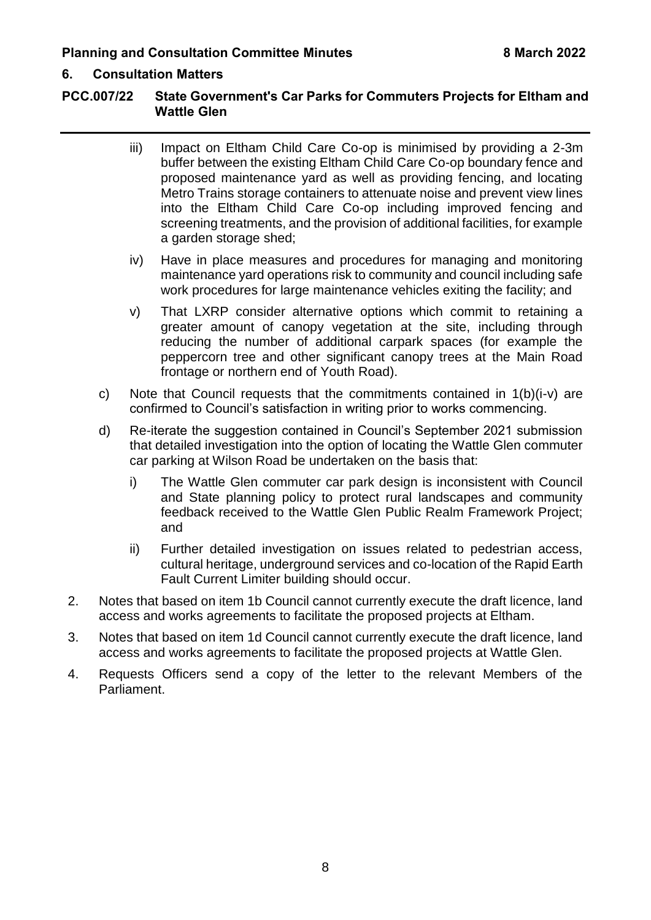# **6. Consultation Matters**

# **PCC.007/22 State Government's Car Parks for Commuters Projects for Eltham and Wattle Glen**

- iii) Impact on Eltham Child Care Co-op is minimised by providing a 2-3m buffer between the existing Eltham Child Care Co-op boundary fence and proposed maintenance yard as well as providing fencing, and locating Metro Trains storage containers to attenuate noise and prevent view lines into the Eltham Child Care Co-op including improved fencing and screening treatments, and the provision of additional facilities, for example a garden storage shed;
- iv) Have in place measures and procedures for managing and monitoring maintenance yard operations risk to community and council including safe work procedures for large maintenance vehicles exiting the facility; and
- v) That LXRP consider alternative options which commit to retaining a greater amount of canopy vegetation at the site, including through reducing the number of additional carpark spaces (for example the peppercorn tree and other significant canopy trees at the Main Road frontage or northern end of Youth Road).
- c) Note that Council requests that the commitments contained in 1(b)(i-v) are confirmed to Council's satisfaction in writing prior to works commencing.
- d) Re-iterate the suggestion contained in Council's September 2021 submission that detailed investigation into the option of locating the Wattle Glen commuter car parking at Wilson Road be undertaken on the basis that:
	- i) The Wattle Glen commuter car park design is inconsistent with Council and State planning policy to protect rural landscapes and community feedback received to the Wattle Glen Public Realm Framework Project; and
	- ii) Further detailed investigation on issues related to pedestrian access, cultural heritage, underground services and co-location of the Rapid Earth Fault Current Limiter building should occur.
- 2. Notes that based on item 1b Council cannot currently execute the draft licence, land access and works agreements to facilitate the proposed projects at Eltham.
- 3. Notes that based on item 1d Council cannot currently execute the draft licence, land access and works agreements to facilitate the proposed projects at Wattle Glen.
- 4. Requests Officers send a copy of the letter to the relevant Members of the Parliament.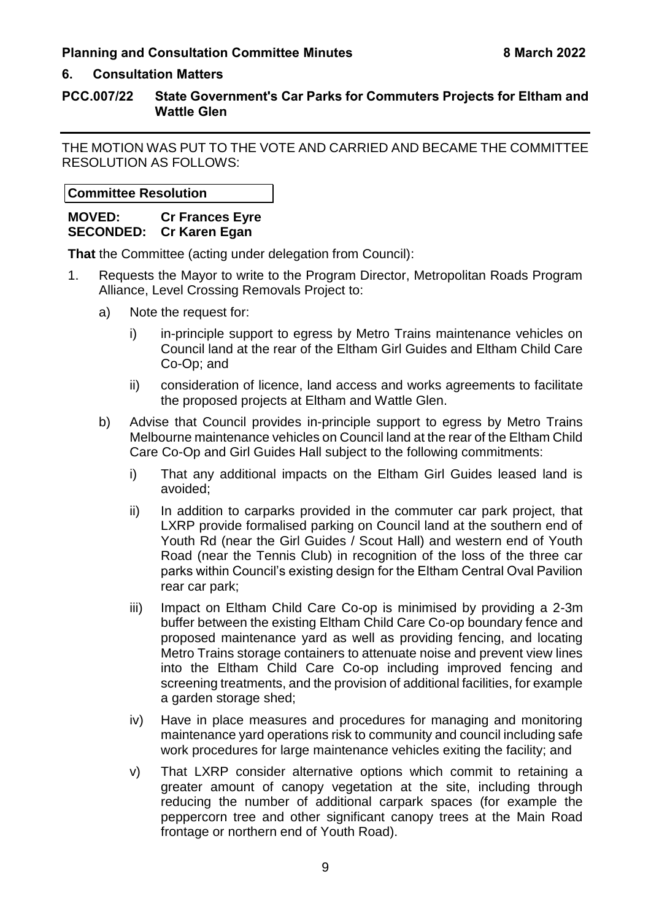#### **6. Consultation Matters**

# **PCC.007/22 State Government's Car Parks for Commuters Projects for Eltham and Wattle Glen**

THE MOTION WAS PUT TO THE VOTE AND CARRIED AND BECAME THE COMMITTEE RESOLUTION AS FOLLOWS:

**Committee Resolution**

**MOVED: Cr Frances Eyre SECONDED: Cr Karen Egan** 

**That** the Committee (acting under delegation from Council):

- 1. Requests the Mayor to write to the Program Director, Metropolitan Roads Program Alliance, Level Crossing Removals Project to:
	- a) Note the request for:
		- i) in-principle support to egress by Metro Trains maintenance vehicles on Council land at the rear of the Eltham Girl Guides and Eltham Child Care Co-Op; and
		- ii) consideration of licence, land access and works agreements to facilitate the proposed projects at Eltham and Wattle Glen.
	- b) Advise that Council provides in-principle support to egress by Metro Trains Melbourne maintenance vehicles on Council land at the rear of the Eltham Child Care Co-Op and Girl Guides Hall subject to the following commitments:
		- i) That any additional impacts on the Eltham Girl Guides leased land is avoided;
		- ii) In addition to carparks provided in the commuter car park project, that LXRP provide formalised parking on Council land at the southern end of Youth Rd (near the Girl Guides / Scout Hall) and western end of Youth Road (near the Tennis Club) in recognition of the loss of the three car parks within Council's existing design for the Eltham Central Oval Pavilion rear car park;
		- iii) Impact on Eltham Child Care Co-op is minimised by providing a 2-3m buffer between the existing Eltham Child Care Co-op boundary fence and proposed maintenance yard as well as providing fencing, and locating Metro Trains storage containers to attenuate noise and prevent view lines into the Eltham Child Care Co-op including improved fencing and screening treatments, and the provision of additional facilities, for example a garden storage shed;
		- iv) Have in place measures and procedures for managing and monitoring maintenance yard operations risk to community and council including safe work procedures for large maintenance vehicles exiting the facility; and
		- v) That LXRP consider alternative options which commit to retaining a greater amount of canopy vegetation at the site, including through reducing the number of additional carpark spaces (for example the peppercorn tree and other significant canopy trees at the Main Road frontage or northern end of Youth Road).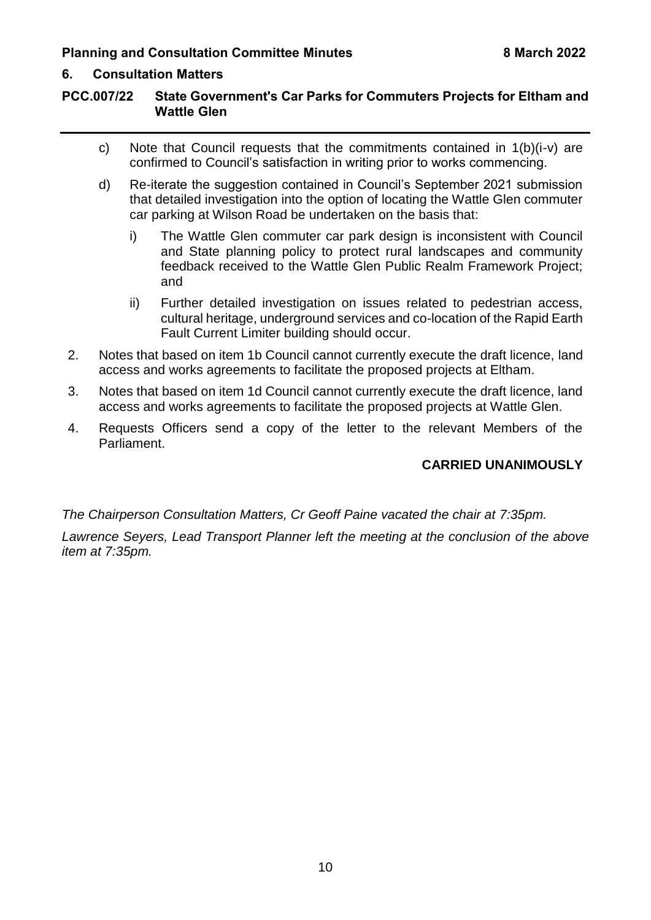# **6. Consultation Matters**

# **PCC.007/22 State Government's Car Parks for Commuters Projects for Eltham and Wattle Glen**

- c) Note that Council requests that the commitments contained in 1(b)(i-v) are confirmed to Council's satisfaction in writing prior to works commencing.
- d) Re-iterate the suggestion contained in Council's September 2021 submission that detailed investigation into the option of locating the Wattle Glen commuter car parking at Wilson Road be undertaken on the basis that:
	- i) The Wattle Glen commuter car park design is inconsistent with Council and State planning policy to protect rural landscapes and community feedback received to the Wattle Glen Public Realm Framework Project; and
	- ii) Further detailed investigation on issues related to pedestrian access, cultural heritage, underground services and co-location of the Rapid Earth Fault Current Limiter building should occur.
- 2. Notes that based on item 1b Council cannot currently execute the draft licence, land access and works agreements to facilitate the proposed projects at Eltham.
- 3. Notes that based on item 1d Council cannot currently execute the draft licence, land access and works agreements to facilitate the proposed projects at Wattle Glen.
- 4. Requests Officers send a copy of the letter to the relevant Members of the Parliament.

# **CARRIED UNANIMOUSLY**

*The Chairperson Consultation Matters, Cr Geoff Paine vacated the chair at 7:35pm. Lawrence Seyers, Lead Transport Planner left the meeting at the conclusion of the above item at 7:35pm.*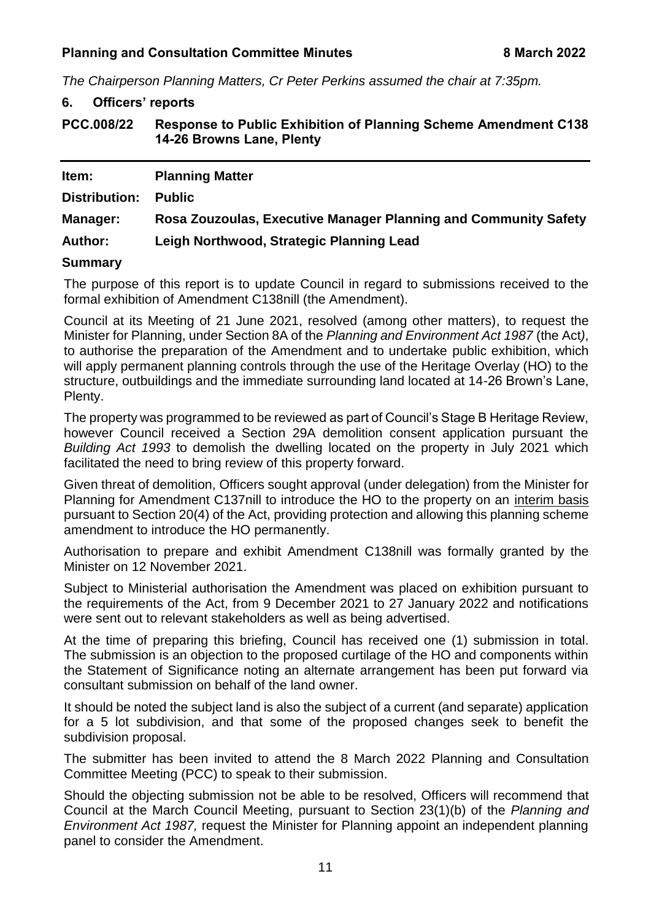<span id="page-11-1"></span>*The Chairperson Planning Matters, Cr Peter Perkins assumed the chair at 7:35pm.*

<span id="page-11-2"></span><span id="page-11-0"></span>

| 6.                   | <b>Officers' reports</b>                                                                            |  |  |  |
|----------------------|-----------------------------------------------------------------------------------------------------|--|--|--|
| <b>PCC.008/22</b>    | <b>Response to Public Exhibition of Planning Scheme Amendment C138</b><br>14-26 Browns Lane, Plenty |  |  |  |
| Item:                | <b>Planning Matter</b>                                                                              |  |  |  |
| <b>Distribution:</b> | <b>Public</b>                                                                                       |  |  |  |
| Manager:             | Rosa Zouzoulas, Executive Manager Planning and Community Safety                                     |  |  |  |

# **Author: Leigh Northwood, Strategic Planning Lead**

#### **Summary**

The purpose of this report is to update Council in regard to submissions received to the formal exhibition of Amendment C138nill (the Amendment).

Council at its Meeting of 21 June 2021, resolved (among other matters), to request the Minister for Planning, under Section 8A of the *Planning and Environment Act 1987* (the Act*)*, to authorise the preparation of the Amendment and to undertake public exhibition, which will apply permanent planning controls through the use of the Heritage Overlay (HO) to the structure, outbuildings and the immediate surrounding land located at 14-26 Brown's Lane, Plenty.

The property was programmed to be reviewed as part of Council's Stage B Heritage Review, however Council received a Section 29A demolition consent application pursuant the *Building Act 1993* to demolish the dwelling located on the property in July 2021 which facilitated the need to bring review of this property forward.

Given threat of demolition, Officers sought approval (under delegation) from the Minister for Planning for Amendment C137nill to introduce the HO to the property on an interim basis pursuant to Section 20(4) of the Act, providing protection and allowing this planning scheme amendment to introduce the HO permanently.

Authorisation to prepare and exhibit Amendment C138nill was formally granted by the Minister on 12 November 2021.

Subject to Ministerial authorisation the Amendment was placed on exhibition pursuant to the requirements of the Act, from 9 December 2021 to 27 January 2022 and notifications were sent out to relevant stakeholders as well as being advertised.

At the time of preparing this briefing, Council has received one (1) submission in total. The submission is an objection to the proposed curtilage of the HO and components within the Statement of Significance noting an alternate arrangement has been put forward via consultant submission on behalf of the land owner.

It should be noted the subject land is also the subject of a current (and separate) application for a 5 lot subdivision, and that some of the proposed changes seek to benefit the subdivision proposal.

The submitter has been invited to attend the 8 March 2022 Planning and Consultation Committee Meeting (PCC) to speak to their submission.

Should the objecting submission not be able to be resolved, Officers will recommend that Council at the March Council Meeting, pursuant to Section 23(1)(b) of the *Planning and Environment Act 1987,* request the Minister for Planning appoint an independent planning panel to consider the Amendment.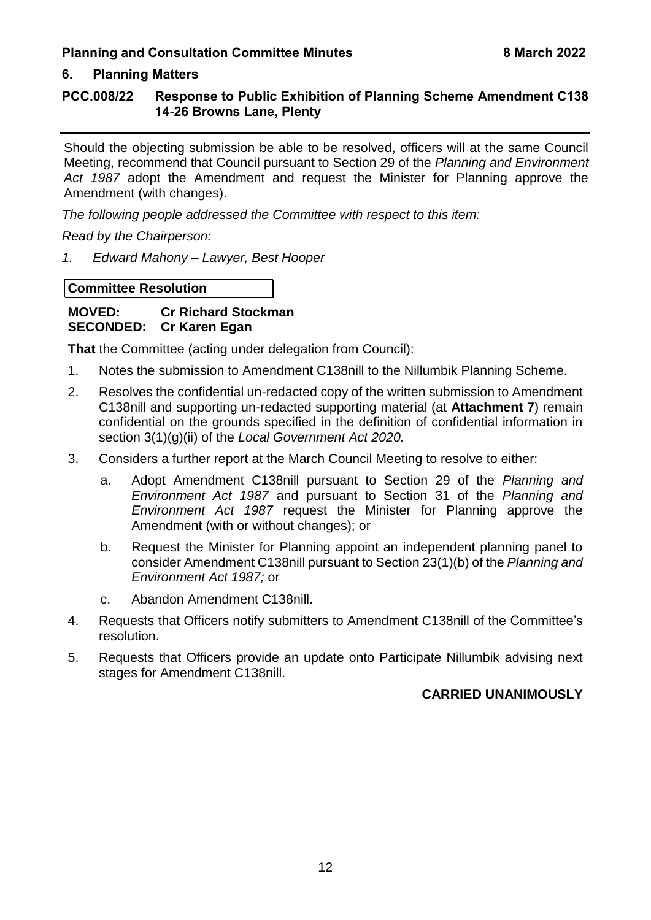# **6. Planning Matters**

# **PCC.008/22 Response to Public Exhibition of Planning Scheme Amendment C138 14-26 Browns Lane, Plenty**

Should the objecting submission be able to be resolved, officers will at the same Council Meeting, recommend that Council pursuant to Section 29 of the *Planning and Environment Act 1987* adopt the Amendment and request the Minister for Planning approve the Amendment (with changes).

*The following people addressed the Committee with respect to this item:*

*Read by the Chairperson:*

*1. Edward Mahony – Lawyer, Best Hooper*

**Committee Resolution**

**MOVED: Cr Richard Stockman SECONDED: Cr Karen Egan** 

**That** the Committee (acting under delegation from Council):

- 1. Notes the submission to Amendment C138nill to the Nillumbik Planning Scheme.
- 2. Resolves the confidential un-redacted copy of the written submission to Amendment C138nill and supporting un-redacted supporting material (at **Attachment 7**) remain confidential on the grounds specified in the definition of confidential information in section 3(1)(g)(ii) of the *Local Government Act 2020.*
- 3. Considers a further report at the March Council Meeting to resolve to either:
	- a. Adopt Amendment C138nill pursuant to Section 29 of the *Planning and Environment Act 1987* and pursuant to Section 31 of the *Planning and Environment Act 1987* request the Minister for Planning approve the Amendment (with or without changes); or
	- b. Request the Minister for Planning appoint an independent planning panel to consider Amendment C138nill pursuant to Section 23(1)(b) of the *Planning and Environment Act 1987;* or
	- c. Abandon Amendment C138nill.
- 4. Requests that Officers notify submitters to Amendment C138nill of the Committee's resolution.
- 5. Requests that Officers provide an update onto Participate Nillumbik advising next stages for Amendment C138nill.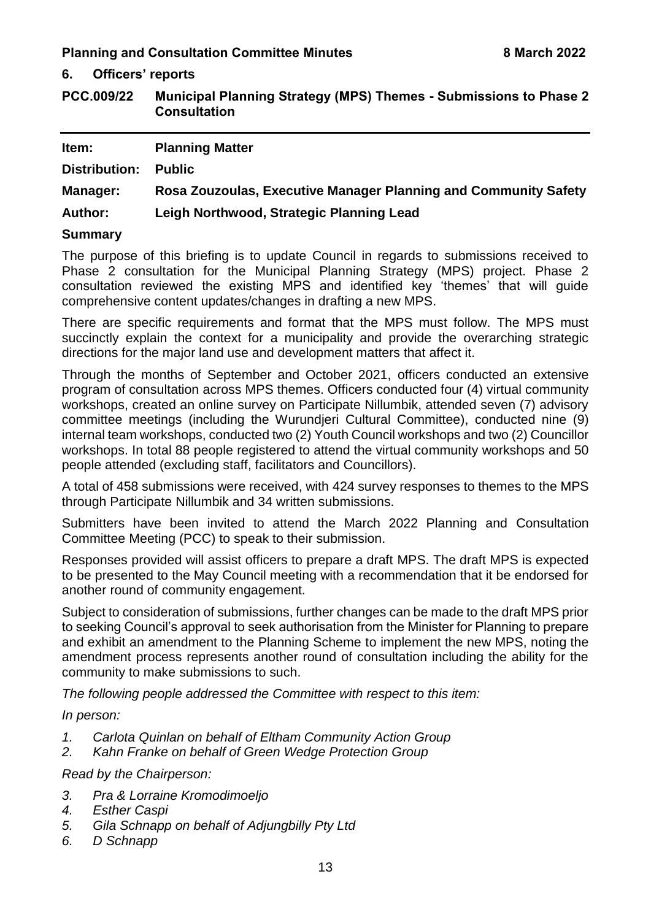**6. Officers' reports**

<span id="page-13-0"></span>**PCC.009/22 Municipal Planning Strategy (MPS) Themes - Submissions to Phase 2 Consultation** 

| Item:           | <b>Planning Matter</b>                                          |
|-----------------|-----------------------------------------------------------------|
| Distribution:   | <b>Public</b>                                                   |
| <b>Manager:</b> | Rosa Zouzoulas, Executive Manager Planning and Community Safety |
| <b>Author:</b>  | Leigh Northwood, Strategic Planning Lead                        |
| <b>Summary</b>  |                                                                 |

The purpose of this briefing is to update Council in regards to submissions received to Phase 2 consultation for the Municipal Planning Strategy (MPS) project. Phase 2 consultation reviewed the existing MPS and identified key 'themes' that will guide comprehensive content updates/changes in drafting a new MPS.

There are specific requirements and format that the MPS must follow. The MPS must succinctly explain the context for a municipality and provide the overarching strategic directions for the major land use and development matters that affect it.

Through the months of September and October 2021, officers conducted an extensive program of consultation across MPS themes. Officers conducted four (4) virtual community workshops, created an online survey on Participate Nillumbik, attended seven (7) advisory committee meetings (including the Wurundjeri Cultural Committee), conducted nine (9) internal team workshops, conducted two (2) Youth Council workshops and two (2) Councillor workshops. In total 88 people registered to attend the virtual community workshops and 50 people attended (excluding staff, facilitators and Councillors).

A total of 458 submissions were received, with 424 survey responses to themes to the MPS through Participate Nillumbik and 34 written submissions.

Submitters have been invited to attend the March 2022 Planning and Consultation Committee Meeting (PCC) to speak to their submission.

Responses provided will assist officers to prepare a draft MPS. The draft MPS is expected to be presented to the May Council meeting with a recommendation that it be endorsed for another round of community engagement.

Subject to consideration of submissions, further changes can be made to the draft MPS prior to seeking Council's approval to seek authorisation from the Minister for Planning to prepare and exhibit an amendment to the Planning Scheme to implement the new MPS, noting the amendment process represents another round of consultation including the ability for the community to make submissions to such.

*The following people addressed the Committee with respect to this item:*

*In person:*

- *1. Carlota Quinlan on behalf of Eltham Community Action Group*
- *2. Kahn Franke on behalf of Green Wedge Protection Group*

*Read by the Chairperson:*

- *3. Pra & Lorraine Kromodimoeljo*
- *4. Esther Caspi*
- *5. Gila Schnapp on behalf of Adjungbilly Pty Ltd*
- *6. D Schnapp*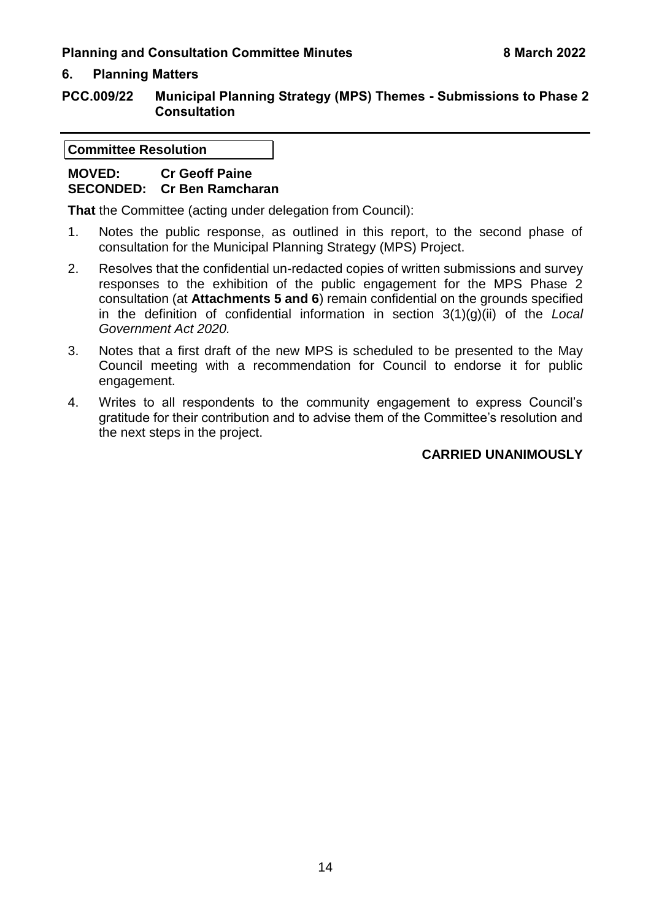# **6. Planning Matters**

**PCC.009/22 Municipal Planning Strategy (MPS) Themes - Submissions to Phase 2 Consultation** 

**Committee Resolution**

# **MOVED: Cr Geoff Paine SECONDED: Cr Ben Ramcharan**

**That** the Committee (acting under delegation from Council):

- 1. Notes the public response, as outlined in this report, to the second phase of consultation for the Municipal Planning Strategy (MPS) Project.
- 2. Resolves that the confidential un-redacted copies of written submissions and survey responses to the exhibition of the public engagement for the MPS Phase 2 consultation (at **Attachments 5 and 6**) remain confidential on the grounds specified in the definition of confidential information in section 3(1)(g)(ii) of the *Local Government Act 2020.*
- 3. Notes that a first draft of the new MPS is scheduled to be presented to the May Council meeting with a recommendation for Council to endorse it for public engagement.
- 4. Writes to all respondents to the community engagement to express Council's gratitude for their contribution and to advise them of the Committee's resolution and the next steps in the project.